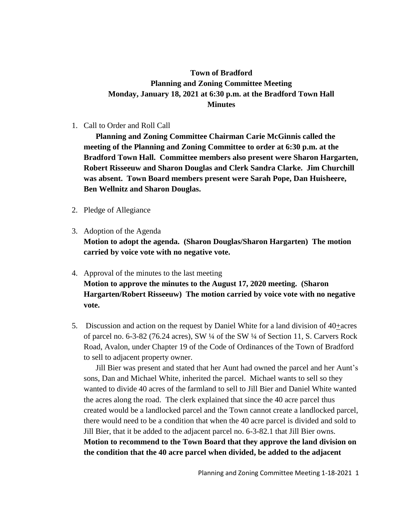## **Town of Bradford Planning and Zoning Committee Meeting Monday, January 18, 2021 at 6:30 p.m. at the Bradford Town Hall Minutes**

1. Call to Order and Roll Call

**Planning and Zoning Committee Chairman Carie McGinnis called the meeting of the Planning and Zoning Committee to order at 6:30 p.m. at the Bradford Town Hall. Committee members also present were Sharon Hargarten, Robert Risseeuw and Sharon Douglas and Clerk Sandra Clarke. Jim Churchill was absent. Town Board members present were Sarah Pope, Dan Huisheere, Ben Wellnitz and Sharon Douglas.**

- 2. Pledge of Allegiance
- 3. Adoption of the Agenda **Motion to adopt the agenda. (Sharon Douglas/Sharon Hargarten) The motion carried by voice vote with no negative vote.**
- 4. Approval of the minutes to the last meeting **Motion to approve the minutes to the August 17, 2020 meeting. (Sharon Hargarten/Robert Risseeuw) The motion carried by voice vote with no negative vote.**
- 5. Discussion and action on the request by Daniel White for a land division of 40+acres of parcel no. 6-3-82 (76.24 acres), SW ¼ of the SW ¼ of Section 11, S. Carvers Rock Road, Avalon, under Chapter 19 of the Code of Ordinances of the Town of Bradford to sell to adjacent property owner.

Jill Bier was present and stated that her Aunt had owned the parcel and her Aunt's sons, Dan and Michael White, inherited the parcel. Michael wants to sell so they wanted to divide 40 acres of the farmland to sell to Jill Bier and Daniel White wanted the acres along the road. The clerk explained that since the 40 acre parcel thus created would be a landlocked parcel and the Town cannot create a landlocked parcel, there would need to be a condition that when the 40 acre parcel is divided and sold to Jill Bier, that it be added to the adjacent parcel no. 6-3-82.1 that Jill Bier owns. **Motion to recommend to the Town Board that they approve the land division on the condition that the 40 acre parcel when divided, be added to the adjacent**